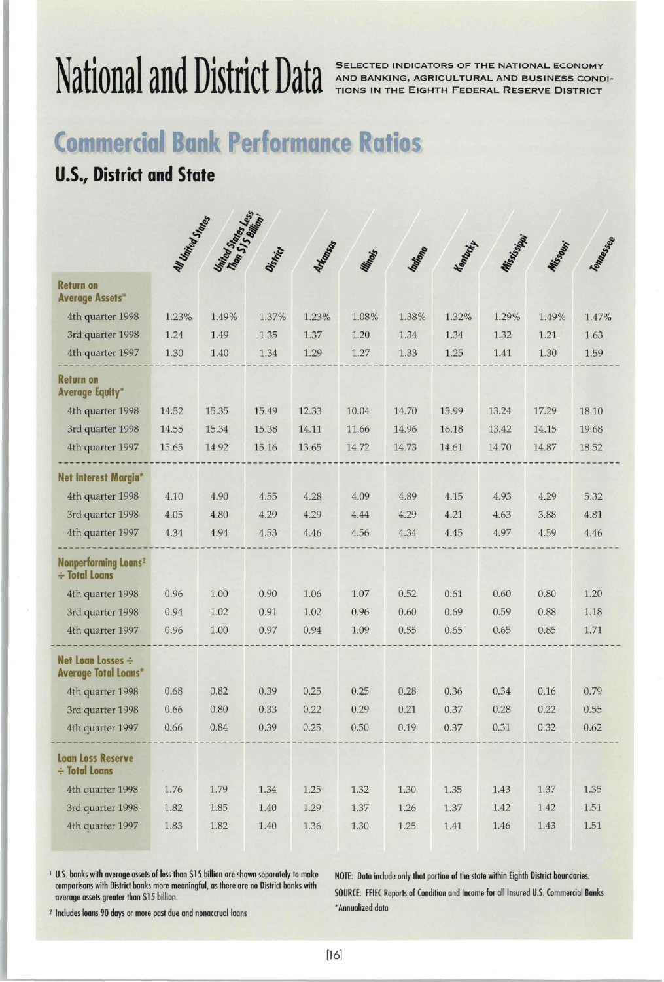# **National and District Data**

SELECTED INDICATORS OF THE NATIONAL ECONOMY AND BANKING, AGRICULTURAL AND BUSINESS CONDI-TIONS IN THE EIGHTH FEDERAL RESERVE DISTRICT

## **Commercial Bank Performance Ratios**

## **U.S., District and State**

|                                                        | <b>All United States</b> | United Street, esta |          |                 |          |          |                 |             |          |           |
|--------------------------------------------------------|--------------------------|---------------------|----------|-----------------|----------|----------|-----------------|-------------|----------|-----------|
|                                                        |                          |                     |          | <b>Arkansos</b> |          |          | <b>Membersh</b> | Mississippi | Missouri | Tempessee |
|                                                        |                          |                     | District |                 | Minoris  | Indiano  |                 |             |          |           |
| <b>Return on</b><br><b>Average Assets*</b>             |                          |                     |          |                 |          |          |                 |             |          |           |
| 4th quarter 1998                                       | 1.23%                    | 1.49%               | 1.37%    | 1.23%           | 1.08%    | 1.38%    | 1.32%           | 1.29%       | 1.49%    | 1.47%     |
| 3rd quarter 1998                                       | 1.24                     | 1.49                | 1.35     | 1.37            | 1.20     | 1.34     | 1.34            | 1.32        | 1.21     | 1.63      |
| 4th quarter 1997                                       | 1.30                     | 1.40                | 1.34     | 1.29            | 1.27     | 1.33     | 1.25            | 1.41        | 1.30     | 1.59      |
| <b>Return on</b><br><b>Average Equity*</b>             |                          |                     |          |                 |          |          |                 |             |          |           |
| 4th quarter 1998                                       | 14.52                    | 15.35               | 15.49    | 12.33           | 10.04    | 14.70    | 15.99           | 13.24       | 17.29    | 18.10     |
| 3rd quarter 1998                                       | 14.55                    | 15.34               | 15.38    | 14.11           | 11.66    | 14.96    | 16.18           | 13.42       | 14.15    | 19.68     |
| 4th quarter 1997                                       | 15.65                    | 14.92               | 15.16    | 13.65           | 14.72    | 14.73    | 14.61           | 14.70       | 14.87    | 18.52     |
| Net Interest Margin*                                   |                          |                     |          |                 |          |          |                 |             |          |           |
| 4th quarter 1998                                       | 4.10                     | 4.90                | 4.55     | 4.28            | 4.09     | 4.89     | 4.15            | 4.93        | 4.29     | 5.32      |
| 3rd quarter 1998                                       | 4.05                     | 4.80                | 4.29     | 4.29            | 4.44     | 4.29     | 4.21            | 4.63        | 3.88     | 4.81      |
| 4th quarter 1997                                       | 4.34                     | 4.94                | 4.53     | 4.46            | 4.56     | 4.34     | 4.45            | 4.97        | 4.59     | 4.46      |
| Nonperforming Loans <sup>2</sup><br>$\div$ Total Loans |                          |                     |          |                 |          |          |                 |             |          |           |
| 4th quarter 1998                                       | 0.96                     | 1.00                | 0.90     | 1.06            | 1.07     | 0.52     | 0.61            | 0.60        | 0.80     | 1.20      |
| 3rd quarter 1998                                       | 0.94                     | 1.02                | 0.91     | 1.02            | 0.96     | 0.60     | 0.69            | 0.59        | 0.88     | 1.18      |
| 4th quarter 1997                                       | 0.96                     | 1.00                | 0.97     | 0.94            | 1.09     | 0.55     | 0.65            | 0.65        | 0.85     | 1.71      |
| Net Loan Losses ÷<br><b>Average Total Loans*</b>       |                          |                     |          |                 |          |          |                 |             |          |           |
| 4th quarter 1998                                       | 0.68                     | 0.82                | 0.39     | 0.25            | 0.25     | 0.28     | 0.36            | 0.34        | 0.16     | 0.79      |
| 3rd quarter 1998                                       | 0.66                     | 0.80                | 0.33     | 0.22            | 0.29     | 0.21     | 0.37            | 0.28        | 0.22     | 0.55      |
| 4th quarter 1997                                       | 0.66                     | 0.84                | 0.39     | 0.25            | 0.50     | 0.19     | 0.37            | 0.31        | 0.32     | 0.62      |
| <b>Loan Loss Reserve</b><br>÷ Total Loans              |                          |                     |          |                 |          |          |                 |             |          |           |
| 4th quarter 1998                                       | 1.76                     | 1.79                | 1.34     | 1.25            | 1.32     | $1.30\,$ | 1.35            | 1.43        | 1.37     | 1.35      |
| 3rd quarter 1998                                       | 1.82                     | 1.85                | 1.40     | 1.29            | 1.37     | 1.26     | 1.37            | 1.42        | 1.42     | $1.51\,$  |
| 4th quarter 1997                                       | 1.83                     | 1.82                | $1.40\,$ | $1.36\,$        | $1.30\,$ | $1.25\,$ | 1.41            | 1.46        | 1.43     | $1.51\,$  |

1 U.S. banks with average assets of less than \$15 billion are shown separately to make comparisons with District banks more meaningful, as there are no District banks with average assets greater than \$15 billion.

NOTE: Data include only that portion of the state within Eighth District boundaries. SOURCE: FFIEC Reports of Condition and Income for all Insured U.S. Commercial Banks ' Annualized data

2 Includes loans 90 days or more past due and nonaccrual loans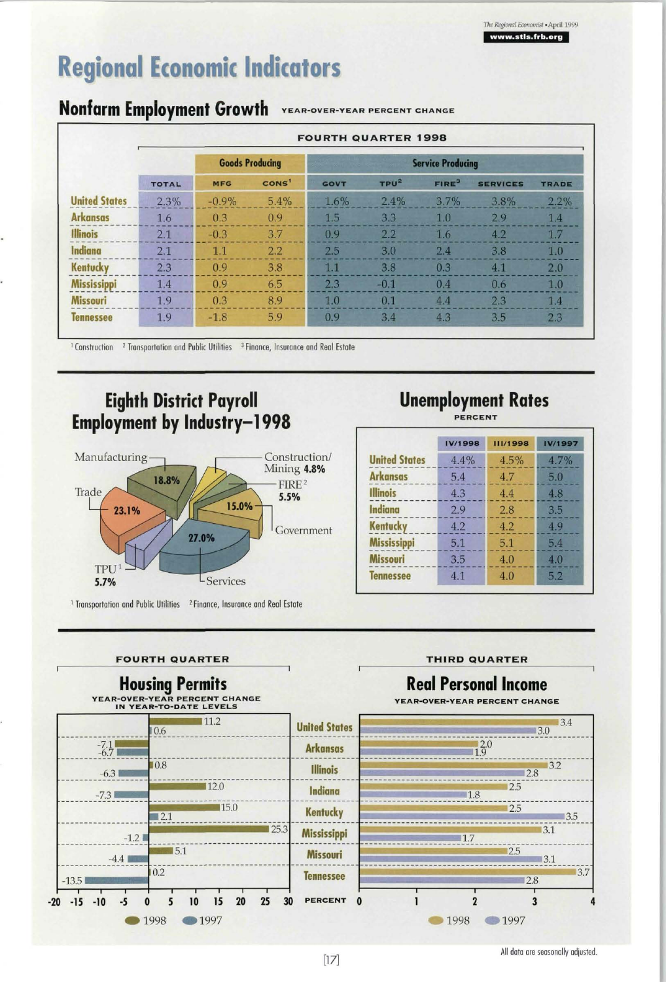-

## **Regional Economic Indicators**

## **Nonfarm Employment Growth YEAR-OVER-YEAR PERCENT CHANGE**

|                      |              | <b>FOURTH QUARTER 1998</b> |                        |                          |                  |                   |                 |              |  |  |  |
|----------------------|--------------|----------------------------|------------------------|--------------------------|------------------|-------------------|-----------------|--------------|--|--|--|
|                      |              |                            | <b>Goods Producing</b> | <b>Service Producing</b> |                  |                   |                 |              |  |  |  |
|                      | <b>TOTAL</b> | <b>MFG</b>                 | CONS <sup>1</sup>      | <b>GOVT</b>              | TPU <sup>2</sup> | FIRE <sup>3</sup> | <b>SERVICES</b> | <b>TRADE</b> |  |  |  |
| <b>United States</b> | 2.3%         | $-0.9%$                    | 5.4%                   | 1.6%                     | 2.4%             | 3.7%              | 3.8%            | $2.2\%$      |  |  |  |
| <b>Arkansas</b>      | 1.6          | 0.3                        | 0.9                    | 1.5                      | 3.3              | 1.0               | 2.9             | 1.4          |  |  |  |
| <b>Illinois</b>      | 2.1          | $-0.3$                     | 3.7                    | 0.9                      | 2.2              | 1.6               | 4.2             | 1.7          |  |  |  |
| Indiana              | 2.1          | 1.1                        | 2.2                    | 2.5                      | 3.0              | 2.4               | 3.8             | 1.0          |  |  |  |
| Kentucky             | 2.3          | 0.9                        | 3.8                    | 1.1                      | 3.8              | 0.3               | 4.1             | 2.0          |  |  |  |
| <b>Mississippi</b>   | 1.4          | 0.9                        | 6.5                    | 2.3                      | $-0.1$           | 0.4               | 0.6             | 1.0          |  |  |  |
| <b>Missouri</b>      | 1.9          | 0.3                        | 8.9                    | 1.0                      | 0.1              | 4.4               | 2.3             | 1.4          |  |  |  |
| <b>Tennessee</b>     | 1.9          | $-1.8$                     | 5.9                    | 0.9                      | 3.4              | 4.3               | 3.5             | 2.3          |  |  |  |

**Construction** <sup>2</sup> Transportation and Public Utilities <sup>3</sup> Finance, Insurance and Real Estate

### **Eighth District Payroll Employment by Industry—1998**



## **Unemployment Rates**

**PERCENT**

|                      | IV/1998 | <b>III/1998</b> | IV/1997 |
|----------------------|---------|-----------------|---------|
| <b>United States</b> | 4.4%    | 4.5%            | 4.7%    |
| <b>Arkansas</b>      | 5.4     | 4.7             | 5.0     |
| <b>Illinois</b>      | 4.3     | 4.4             | 4.8     |
| Indiana              | 2.9     | 2.8             | 3.5     |
| <b>Kentucky</b>      | 4.2     | 4.2             | 4.9     |
| <b>Mississippi</b>   | 5.1     | 5.1             | 5.4     |
| Missouri             | 3.5     | 4.0             | 4.0     |
| <b>Tennessee</b>     | 4.1     | 4.0             | 5.2     |

#### **FOURTH QUARTER THIRD QUARTER**



All data are seasonally adjusted.

 $[17]$